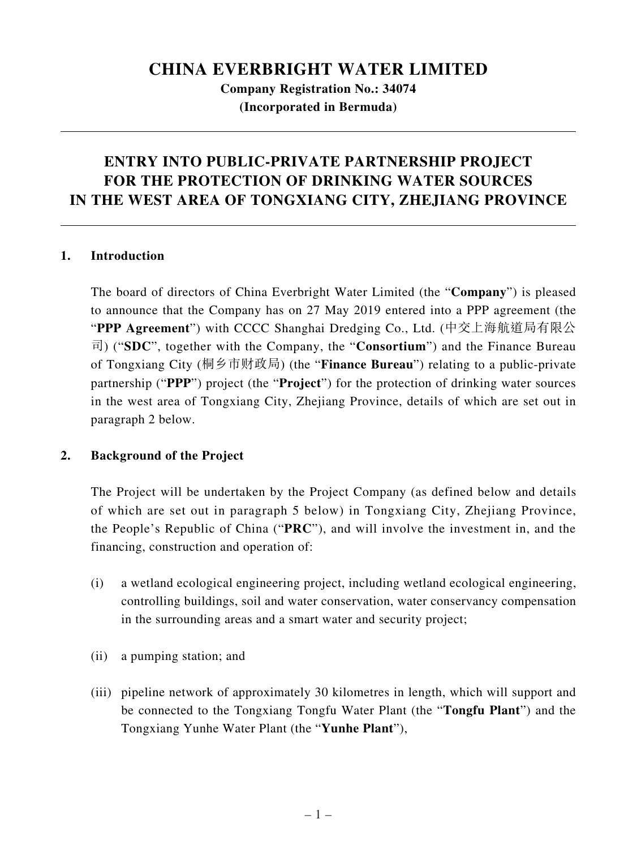# **CHINA EVERBRIGHT WATER LIMITED**

**Company Registration No.: 34074 (Incorporated in Bermuda)**

# **ENTRY INTO PUBLIC-PRIVATE PARTNERSHIP PROJECT FOR THE PROTECTION OF DRINKING WATER SOURCES IN THE WEST AREA OF TONGXIANG CITY, ZHEJIANG PROVINCE**

#### **1. Introduction**

The board of directors of China Everbright Water Limited (the "**Company**") is pleased to announce that the Company has on 27 May 2019 entered into a PPP agreement (the "**PPP Agreement**") with CCCC Shanghai Dredging Co., Ltd. (中交上海航道局有限公 司) ("**SDC**", together with the Company, the "**Consortium**") and the Finance Bureau of Tongxiang City (桐乡市财政局) (the "**Finance Bureau**") relating to a public-private partnership ("**PPP**") project (the "**Project**") for the protection of drinking water sources in the west area of Tongxiang City, Zhejiang Province, details of which are set out in paragraph 2 below.

# **2. Background of the Project**

The Project will be undertaken by the Project Company (as defined below and details of which are set out in paragraph 5 below) in Tongxiang City, Zhejiang Province, the People's Republic of China ("**PRC**"), and will involve the investment in, and the financing, construction and operation of:

- (i) a wetland ecological engineering project, including wetland ecological engineering, controlling buildings, soil and water conservation, water conservancy compensation in the surrounding areas and a smart water and security project;
- (ii) a pumping station; and
- (iii) pipeline network of approximately 30 kilometres in length, which will support and be connected to the Tongxiang Tongfu Water Plant (the "**Tongfu Plant**") and the Tongxiang Yunhe Water Plant (the "**Yunhe Plant**"),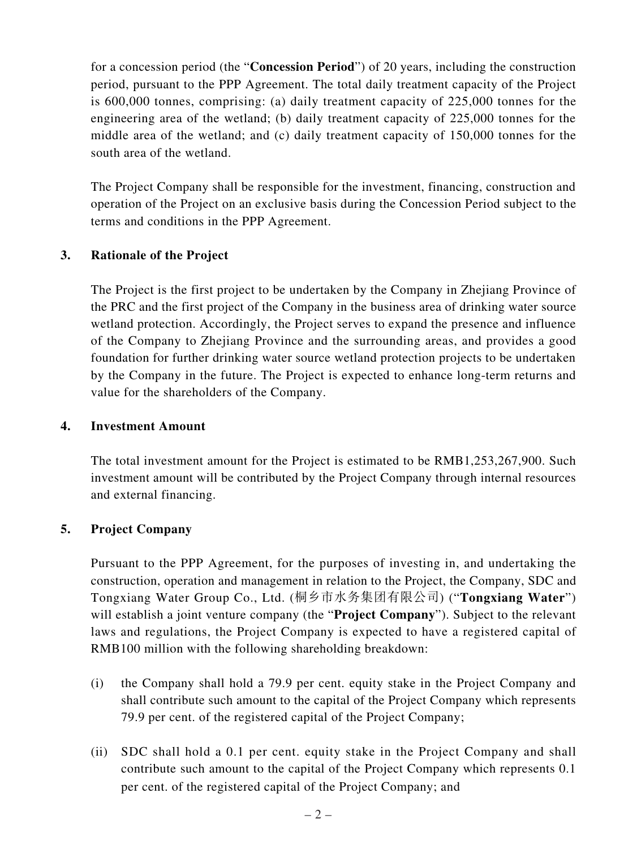for a concession period (the "**Concession Period**") of 20 years, including the construction period, pursuant to the PPP Agreement. The total daily treatment capacity of the Project is 600,000 tonnes, comprising: (a) daily treatment capacity of 225,000 tonnes for the engineering area of the wetland; (b) daily treatment capacity of 225,000 tonnes for the middle area of the wetland; and (c) daily treatment capacity of 150,000 tonnes for the south area of the wetland.

The Project Company shall be responsible for the investment, financing, construction and operation of the Project on an exclusive basis during the Concession Period subject to the terms and conditions in the PPP Agreement.

# **3. Rationale of the Project**

The Project is the first project to be undertaken by the Company in Zhejiang Province of the PRC and the first project of the Company in the business area of drinking water source wetland protection. Accordingly, the Project serves to expand the presence and influence of the Company to Zhejiang Province and the surrounding areas, and provides a good foundation for further drinking water source wetland protection projects to be undertaken by the Company in the future. The Project is expected to enhance long-term returns and value for the shareholders of the Company.

#### **4. Investment Amount**

The total investment amount for the Project is estimated to be RMB1,253,267,900. Such investment amount will be contributed by the Project Company through internal resources and external financing.

# **5. Project Company**

Pursuant to the PPP Agreement, for the purposes of investing in, and undertaking the construction, operation and management in relation to the Project, the Company, SDC and Tongxiang Water Group Co., Ltd. (桐乡市水务集团有限公司) ("**Tongxiang Water**") will establish a joint venture company (the "**Project Company**"). Subject to the relevant laws and regulations, the Project Company is expected to have a registered capital of RMB100 million with the following shareholding breakdown:

- (i) the Company shall hold a 79.9 per cent. equity stake in the Project Company and shall contribute such amount to the capital of the Project Company which represents 79.9 per cent. of the registered capital of the Project Company;
- (ii) SDC shall hold a 0.1 per cent. equity stake in the Project Company and shall contribute such amount to the capital of the Project Company which represents 0.1 per cent. of the registered capital of the Project Company; and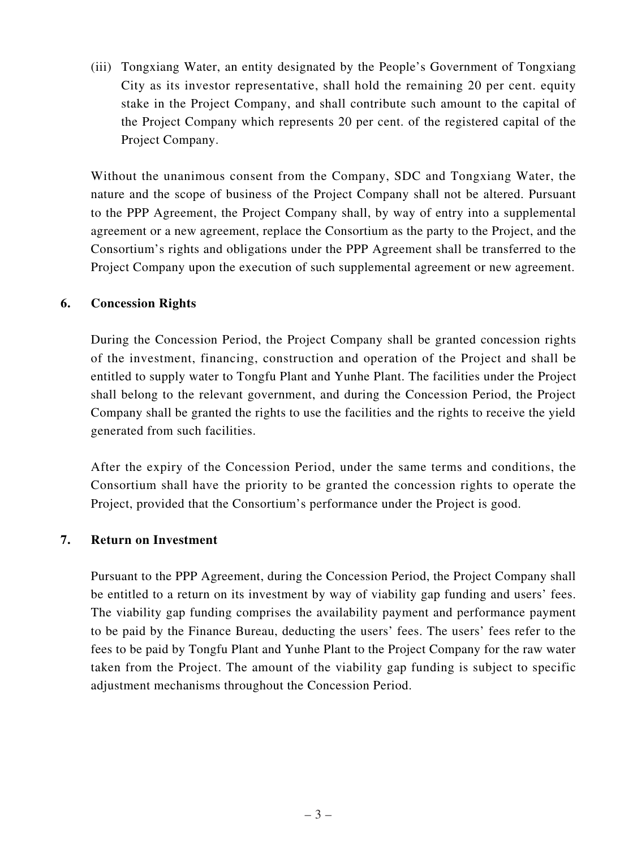(iii) Tongxiang Water, an entity designated by the People's Government of Tongxiang City as its investor representative, shall hold the remaining 20 per cent. equity stake in the Project Company, and shall contribute such amount to the capital of the Project Company which represents 20 per cent. of the registered capital of the Project Company.

Without the unanimous consent from the Company, SDC and Tongxiang Water, the nature and the scope of business of the Project Company shall not be altered. Pursuant to the PPP Agreement, the Project Company shall, by way of entry into a supplemental agreement or a new agreement, replace the Consortium as the party to the Project, and the Consortium's rights and obligations under the PPP Agreement shall be transferred to the Project Company upon the execution of such supplemental agreement or new agreement.

#### **6. Concession Rights**

During the Concession Period, the Project Company shall be granted concession rights of the investment, financing, construction and operation of the Project and shall be entitled to supply water to Tongfu Plant and Yunhe Plant. The facilities under the Project shall belong to the relevant government, and during the Concession Period, the Project Company shall be granted the rights to use the facilities and the rights to receive the yield generated from such facilities.

After the expiry of the Concession Period, under the same terms and conditions, the Consortium shall have the priority to be granted the concession rights to operate the Project, provided that the Consortium's performance under the Project is good.

# **7. Return on Investment**

Pursuant to the PPP Agreement, during the Concession Period, the Project Company shall be entitled to a return on its investment by way of viability gap funding and users' fees. The viability gap funding comprises the availability payment and performance payment to be paid by the Finance Bureau, deducting the users' fees. The users' fees refer to the fees to be paid by Tongfu Plant and Yunhe Plant to the Project Company for the raw water taken from the Project. The amount of the viability gap funding is subject to specific adjustment mechanisms throughout the Concession Period.